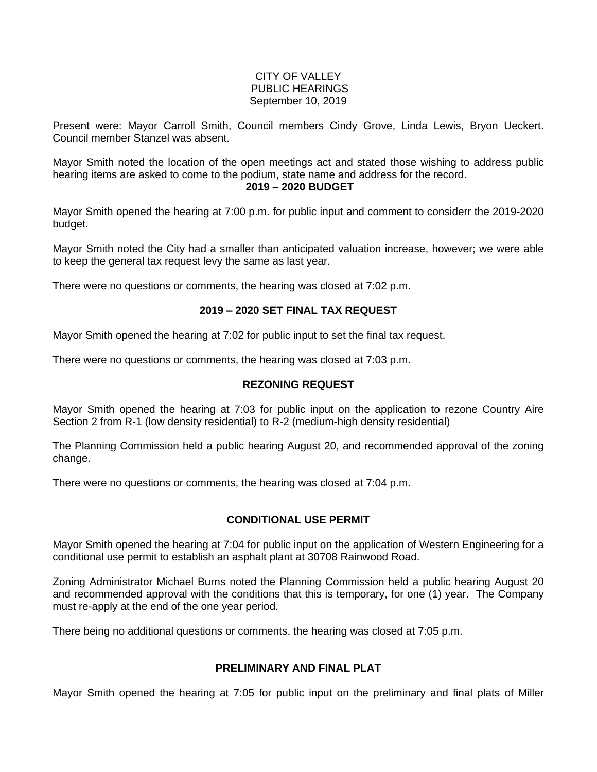#### CITY OF VALLEY PUBLIC HEARINGS September 10, 2019

Present were: Mayor Carroll Smith, Council members Cindy Grove, Linda Lewis, Bryon Ueckert. Council member Stanzel was absent.

Mayor Smith noted the location of the open meetings act and stated those wishing to address public hearing items are asked to come to the podium, state name and address for the record.

**2019 – 2020 BUDGET**

Mayor Smith opened the hearing at 7:00 p.m. for public input and comment to considerr the 2019-2020 budget.

Mayor Smith noted the City had a smaller than anticipated valuation increase, however; we were able to keep the general tax request levy the same as last year.

There were no questions or comments, the hearing was closed at 7:02 p.m.

# **2019 – 2020 SET FINAL TAX REQUEST**

Mayor Smith opened the hearing at 7:02 for public input to set the final tax request.

There were no questions or comments, the hearing was closed at 7:03 p.m.

#### **REZONING REQUEST**

Mayor Smith opened the hearing at 7:03 for public input on the application to rezone Country Aire Section 2 from R-1 (low density residential) to R-2 (medium-high density residential)

The Planning Commission held a public hearing August 20, and recommended approval of the zoning change.

There were no questions or comments, the hearing was closed at 7:04 p.m.

# **CONDITIONAL USE PERMIT**

Mayor Smith opened the hearing at 7:04 for public input on the application of Western Engineering for a conditional use permit to establish an asphalt plant at 30708 Rainwood Road.

Zoning Administrator Michael Burns noted the Planning Commission held a public hearing August 20 and recommended approval with the conditions that this is temporary, for one (1) year. The Company must re-apply at the end of the one year period.

There being no additional questions or comments, the hearing was closed at 7:05 p.m.

# **PRELIMINARY AND FINAL PLAT**

Mayor Smith opened the hearing at 7:05 for public input on the preliminary and final plats of Miller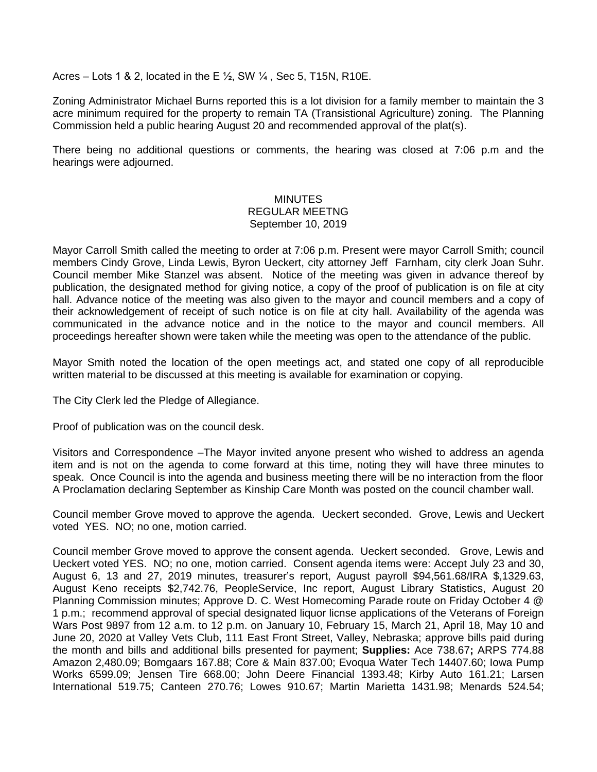Acres – Lots 1 & 2, located in the E  $\frac{1}{2}$ , SW  $\frac{1}{4}$ , Sec 5, T15N, R10E.

Zoning Administrator Michael Burns reported this is a lot division for a family member to maintain the 3 acre minimum required for the property to remain TA (Transistional Agriculture) zoning. The Planning Commission held a public hearing August 20 and recommended approval of the plat(s).

There being no additional questions or comments, the hearing was closed at 7:06 p.m and the hearings were adjourned.

# **MINUTES** REGULAR MEETNG September 10, 2019

Mayor Carroll Smith called the meeting to order at 7:06 p.m. Present were mayor Carroll Smith; council members Cindy Grove, Linda Lewis, Byron Ueckert, city attorney Jeff Farnham, city clerk Joan Suhr. Council member Mike Stanzel was absent. Notice of the meeting was given in advance thereof by publication, the designated method for giving notice, a copy of the proof of publication is on file at city hall. Advance notice of the meeting was also given to the mayor and council members and a copy of their acknowledgement of receipt of such notice is on file at city hall. Availability of the agenda was communicated in the advance notice and in the notice to the mayor and council members. All proceedings hereafter shown were taken while the meeting was open to the attendance of the public.

Mayor Smith noted the location of the open meetings act, and stated one copy of all reproducible written material to be discussed at this meeting is available for examination or copying.

The City Clerk led the Pledge of Allegiance.

Proof of publication was on the council desk.

Visitors and Correspondence –The Mayor invited anyone present who wished to address an agenda item and is not on the agenda to come forward at this time, noting they will have three minutes to speak. Once Council is into the agenda and business meeting there will be no interaction from the floor A Proclamation declaring September as Kinship Care Month was posted on the council chamber wall.

Council member Grove moved to approve the agenda. Ueckert seconded. Grove, Lewis and Ueckert voted YES. NO; no one, motion carried.

Council member Grove moved to approve the consent agenda. Ueckert seconded. Grove, Lewis and Ueckert voted YES. NO; no one, motion carried. Consent agenda items were: Accept July 23 and 30, August 6, 13 and 27, 2019 minutes, treasurer's report, August payroll \$94,561.68/IRA \$,1329.63, August Keno receipts \$2,742.76, PeopleService, Inc report, August Library Statistics, August 20 Planning Commission minutes; Approve D. C. West Homecoming Parade route on Friday October 4 @ 1 p.m.; recommend approval of special designated liquor licnse applications of the Veterans of Foreign Wars Post 9897 from 12 a.m. to 12 p.m. on January 10, February 15, March 21, April 18, May 10 and June 20, 2020 at Valley Vets Club, 111 East Front Street, Valley, Nebraska; approve bills paid during the month and bills and additional bills presented for payment; **Supplies:** Ace 738.67**;** ARPS 774.88 Amazon 2,480.09; Bomgaars 167.88; Core & Main 837.00; Evoqua Water Tech 14407.60; Iowa Pump Works 6599.09; Jensen Tire 668.00; John Deere Financial 1393.48; Kirby Auto 161.21; Larsen International 519.75; Canteen 270.76; Lowes 910.67; Martin Marietta 1431.98; Menards 524.54;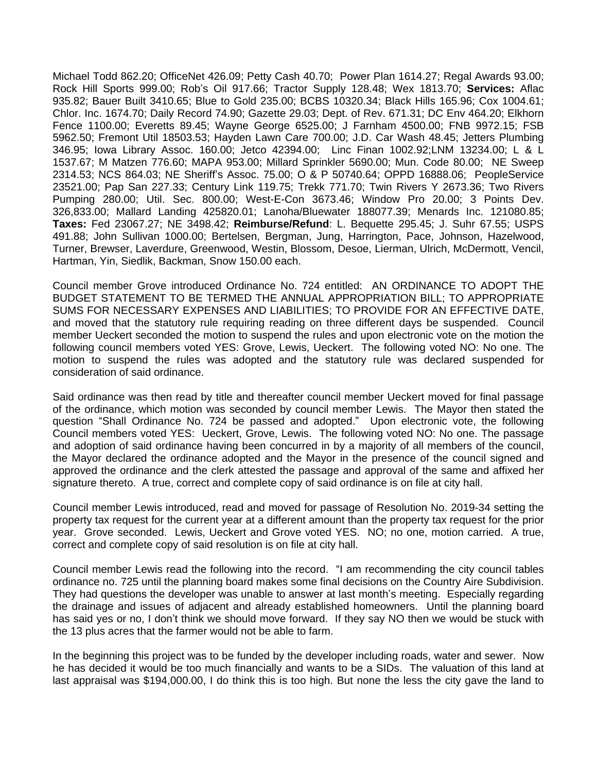Michael Todd 862.20; OfficeNet 426.09; Petty Cash 40.70; Power Plan 1614.27; Regal Awards 93.00; Rock Hill Sports 999.00; Rob's Oil 917.66; Tractor Supply 128.48; Wex 1813.70; **Services:** Aflac 935.82; Bauer Built 3410.65; Blue to Gold 235.00; BCBS 10320.34; Black Hills 165.96; Cox 1004.61; Chlor. Inc. 1674.70; Daily Record 74.90; Gazette 29.03; Dept. of Rev. 671.31; DC Env 464.20; Elkhorn Fence 1100.00; Everetts 89.45; Wayne George 6525.00; J Farnham 4500.00; FNB 9972.15; FSB 5962.50; Fremont Util 18503.53; Hayden Lawn Care 700.00; J.D. Car Wash 48.45; Jetters Plumbing 346.95; Iowa Library Assoc. 160.00; Jetco 42394.00; Linc Finan 1002.92;LNM 13234.00; L & L 1537.67; M Matzen 776.60; MAPA 953.00; Millard Sprinkler 5690.00; Mun. Code 80.00; NE Sweep 2314.53; NCS 864.03; NE Sheriff's Assoc. 75.00; O & P 50740.64; OPPD 16888.06; PeopleService 23521.00; Pap San 227.33; Century Link 119.75; Trekk 771.70; Twin Rivers Y 2673.36; Two Rivers Pumping 280.00; Util. Sec. 800.00; West-E-Con 3673.46; Window Pro 20.00; 3 Points Dev. 326,833.00; Mallard Landing 425820.01; Lanoha/Bluewater 188077.39; Menards Inc. 121080.85; **Taxes:** Fed 23067.27; NE 3498.42; **Reimburse/Refund**: L. Bequette 295.45; J. Suhr 67.55; USPS 491.88; John Sullivan 1000.00; Bertelsen, Bergman, Jung, Harrington, Pace, Johnson, Hazelwood, Turner, Brewser, Laverdure, Greenwood, Westin, Blossom, Desoe, Lierman, Ulrich, McDermott, Vencil, Hartman, Yin, Siedlik, Backman, Snow 150.00 each.

Council member Grove introduced Ordinance No. 724 entitled: AN ORDINANCE TO ADOPT THE BUDGET STATEMENT TO BE TERMED THE ANNUAL APPROPRIATION BILL; TO APPROPRIATE SUMS FOR NECESSARY EXPENSES AND LIABILITIES; TO PROVIDE FOR AN EFFECTIVE DATE, and moved that the statutory rule requiring reading on three different days be suspended. Council member Ueckert seconded the motion to suspend the rules and upon electronic vote on the motion the following council members voted YES: Grove, Lewis, Ueckert. The following voted NO: No one. The motion to suspend the rules was adopted and the statutory rule was declared suspended for consideration of said ordinance.

Said ordinance was then read by title and thereafter council member Ueckert moved for final passage of the ordinance, which motion was seconded by council member Lewis. The Mayor then stated the question "Shall Ordinance No. 724 be passed and adopted." Upon electronic vote, the following Council members voted YES: Ueckert, Grove, Lewis. The following voted NO: No one. The passage and adoption of said ordinance having been concurred in by a majority of all members of the council, the Mayor declared the ordinance adopted and the Mayor in the presence of the council signed and approved the ordinance and the clerk attested the passage and approval of the same and affixed her signature thereto. A true, correct and complete copy of said ordinance is on file at city hall.

Council member Lewis introduced, read and moved for passage of Resolution No. 2019-34 setting the property tax request for the current year at a different amount than the property tax request for the prior year. Grove seconded. Lewis, Ueckert and Grove voted YES. NO; no one, motion carried. A true, correct and complete copy of said resolution is on file at city hall.

Council member Lewis read the following into the record. "I am recommending the city council tables ordinance no. 725 until the planning board makes some final decisions on the Country Aire Subdivision. They had questions the developer was unable to answer at last month's meeting. Especially regarding the drainage and issues of adjacent and already established homeowners. Until the planning board has said yes or no, I don't think we should move forward. If they say NO then we would be stuck with the 13 plus acres that the farmer would not be able to farm.

In the beginning this project was to be funded by the developer including roads, water and sewer. Now he has decided it would be too much financially and wants to be a SIDs. The valuation of this land at last appraisal was \$194,000.00, I do think this is too high. But none the less the city gave the land to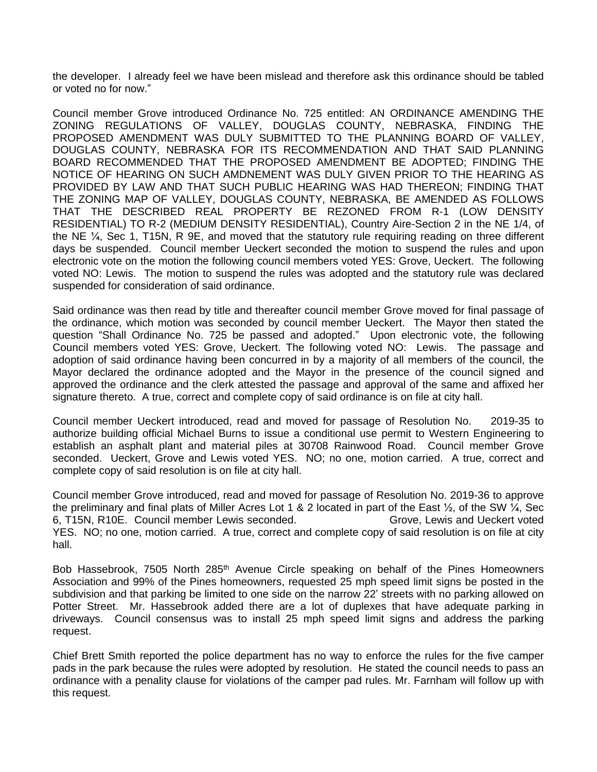the developer. I already feel we have been mislead and therefore ask this ordinance should be tabled or voted no for now."

Council member Grove introduced Ordinance No. 725 entitled: AN ORDINANCE AMENDING THE ZONING REGULATIONS OF VALLEY, DOUGLAS COUNTY, NEBRASKA, FINDING THE PROPOSED AMENDMENT WAS DULY SUBMITTED TO THE PLANNING BOARD OF VALLEY, DOUGLAS COUNTY, NEBRASKA FOR ITS RECOMMENDATION AND THAT SAID PLANNING BOARD RECOMMENDED THAT THE PROPOSED AMENDMENT BE ADOPTED; FINDING THE NOTICE OF HEARING ON SUCH AMDNEMENT WAS DULY GIVEN PRIOR TO THE HEARING AS PROVIDED BY LAW AND THAT SUCH PUBLIC HEARING WAS HAD THEREON; FINDING THAT THE ZONING MAP OF VALLEY, DOUGLAS COUNTY, NEBRASKA, BE AMENDED AS FOLLOWS THAT THE DESCRIBED REAL PROPERTY BE REZONED FROM R-1 (LOW DENSITY RESIDENTIAL) TO R-2 (MEDIUM DENSITY RESIDENTIAL), Country Aire-Section 2 in the NE 1/4, of the NE ¼, Sec 1, T15N, R 9E, and moved that the statutory rule requiring reading on three different days be suspended. Council member Ueckert seconded the motion to suspend the rules and upon electronic vote on the motion the following council members voted YES: Grove, Ueckert. The following voted NO: Lewis. The motion to suspend the rules was adopted and the statutory rule was declared suspended for consideration of said ordinance.

Said ordinance was then read by title and thereafter council member Grove moved for final passage of the ordinance, which motion was seconded by council member Ueckert. The Mayor then stated the question "Shall Ordinance No. 725 be passed and adopted." Upon electronic vote, the following Council members voted YES: Grove, Ueckert. The following voted NO: Lewis. The passage and adoption of said ordinance having been concurred in by a majority of all members of the council, the Mayor declared the ordinance adopted and the Mayor in the presence of the council signed and approved the ordinance and the clerk attested the passage and approval of the same and affixed her signature thereto. A true, correct and complete copy of said ordinance is on file at city hall.

Council member Ueckert introduced, read and moved for passage of Resolution No. 2019-35 to authorize building official Michael Burns to issue a conditional use permit to Western Engineering to establish an asphalt plant and material piles at 30708 Rainwood Road. Council member Grove seconded. Ueckert, Grove and Lewis voted YES. NO; no one, motion carried. A true, correct and complete copy of said resolution is on file at city hall.

Council member Grove introduced, read and moved for passage of Resolution No. 2019-36 to approve the preliminary and final plats of Miller Acres Lot 1 & 2 located in part of the East  $\frac{1}{2}$ , of the SW  $\frac{1}{4}$ , Sec 6, T15N, R10E. Council member Lewis seconded. Grove, Lewis and Ueckert voted YES. NO; no one, motion carried. A true, correct and complete copy of said resolution is on file at city hall.

Bob Hassebrook, 7505 North 285<sup>th</sup> Avenue Circle speaking on behalf of the Pines Homeowners Association and 99% of the Pines homeowners, requested 25 mph speed limit signs be posted in the subdivision and that parking be limited to one side on the narrow 22' streets with no parking allowed on Potter Street. Mr. Hassebrook added there are a lot of duplexes that have adequate parking in driveways. Council consensus was to install 25 mph speed limit signs and address the parking request.

Chief Brett Smith reported the police department has no way to enforce the rules for the five camper pads in the park because the rules were adopted by resolution. He stated the council needs to pass an ordinance with a penality clause for violations of the camper pad rules. Mr. Farnham will follow up with this request.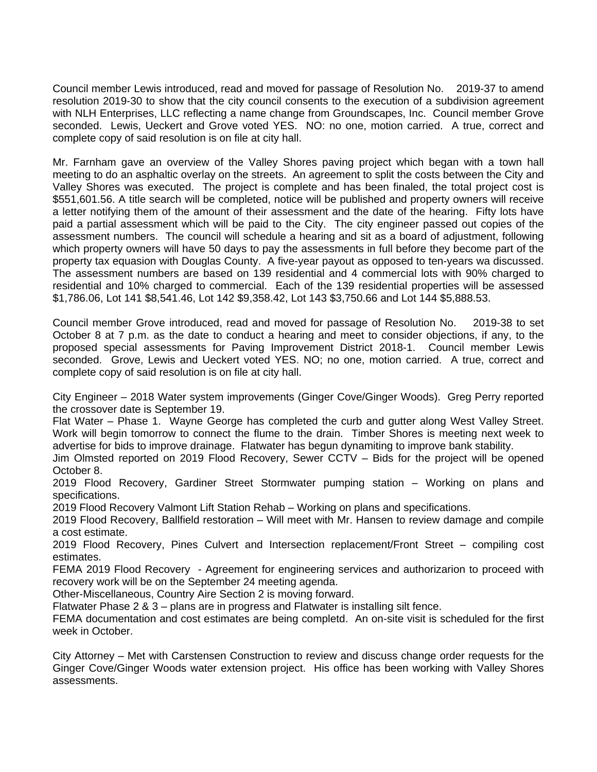Council member Lewis introduced, read and moved for passage of Resolution No. 2019-37 to amend resolution 2019-30 to show that the city council consents to the execution of a subdivision agreement with NLH Enterprises, LLC reflecting a name change from Groundscapes, Inc. Council member Grove seconded. Lewis, Ueckert and Grove voted YES. NO: no one, motion carried. A true, correct and complete copy of said resolution is on file at city hall.

Mr. Farnham gave an overview of the Valley Shores paving project which began with a town hall meeting to do an asphaltic overlay on the streets. An agreement to split the costs between the City and Valley Shores was executed. The project is complete and has been finaled, the total project cost is \$551,601.56. A title search will be completed, notice will be published and property owners will receive a letter notifying them of the amount of their assessment and the date of the hearing. Fifty lots have paid a partial assessment which will be paid to the City. The city engineer passed out copies of the assessment numbers. The council will schedule a hearing and sit as a board of adjustment, following which property owners will have 50 days to pay the assessments in full before they become part of the property tax equasion with Douglas County. A five-year payout as opposed to ten-years wa discussed. The assessment numbers are based on 139 residential and 4 commercial lots with 90% charged to residential and 10% charged to commercial. Each of the 139 residential properties will be assessed \$1,786.06, Lot 141 \$8,541.46, Lot 142 \$9,358.42, Lot 143 \$3,750.66 and Lot 144 \$5,888.53.

Council member Grove introduced, read and moved for passage of Resolution No. 2019-38 to set October 8 at 7 p.m. as the date to conduct a hearing and meet to consider objections, if any, to the proposed special assessments for Paving Improvement District 2018-1. Council member Lewis seconded. Grove, Lewis and Ueckert voted YES. NO; no one, motion carried. A true, correct and complete copy of said resolution is on file at city hall.

City Engineer – 2018 Water system improvements (Ginger Cove/Ginger Woods). Greg Perry reported the crossover date is September 19.

Flat Water – Phase 1. Wayne George has completed the curb and gutter along West Valley Street. Work will begin tomorrow to connect the flume to the drain. Timber Shores is meeting next week to advertise for bids to improve drainage. Flatwater has begun dynamiting to improve bank stability.

Jim Olmsted reported on 2019 Flood Recovery, Sewer CCTV – Bids for the project will be opened October 8.

2019 Flood Recovery, Gardiner Street Stormwater pumping station – Working on plans and specifications.

2019 Flood Recovery Valmont Lift Station Rehab – Working on plans and specifications.

2019 Flood Recovery, Ballfield restoration – Will meet with Mr. Hansen to review damage and compile a cost estimate.

2019 Flood Recovery, Pines Culvert and Intersection replacement/Front Street – compiling cost estimates.

FEMA 2019 Flood Recovery - Agreement for engineering services and authorizarion to proceed with recovery work will be on the September 24 meeting agenda.

Other-Miscellaneous, Country Aire Section 2 is moving forward.

Flatwater Phase 2 & 3 – plans are in progress and Flatwater is installing silt fence.

FEMA documentation and cost estimates are being completd. An on-site visit is scheduled for the first week in October.

City Attorney – Met with Carstensen Construction to review and discuss change order requests for the Ginger Cove/Ginger Woods water extension project. His office has been working with Valley Shores assessments.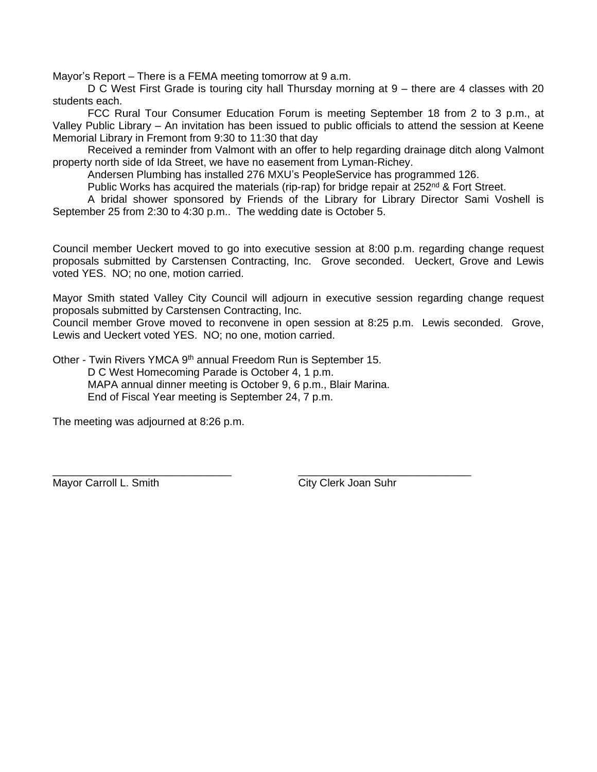Mayor's Report – There is a FEMA meeting tomorrow at 9 a.m.

D C West First Grade is touring city hall Thursday morning at 9 – there are 4 classes with 20 students each.

FCC Rural Tour Consumer Education Forum is meeting September 18 from 2 to 3 p.m., at Valley Public Library – An invitation has been issued to public officials to attend the session at Keene Memorial Library in Fremont from 9:30 to 11:30 that day

Received a reminder from Valmont with an offer to help regarding drainage ditch along Valmont property north side of Ida Street, we have no easement from Lyman-Richey.

Andersen Plumbing has installed 276 MXU's PeopleService has programmed 126.

Public Works has acquired the materials (rip-rap) for bridge repair at  $252<sup>nd</sup>$  & Fort Street.

A bridal shower sponsored by Friends of the Library for Library Director Sami Voshell is September 25 from 2:30 to 4:30 p.m.. The wedding date is October 5.

Council member Ueckert moved to go into executive session at 8:00 p.m. regarding change request proposals submitted by Carstensen Contracting, Inc. Grove seconded. Ueckert, Grove and Lewis voted YES. NO; no one, motion carried.

Mayor Smith stated Valley City Council will adjourn in executive session regarding change request proposals submitted by Carstensen Contracting, Inc.

Council member Grove moved to reconvene in open session at 8:25 p.m. Lewis seconded. Grove, Lewis and Ueckert voted YES. NO; no one, motion carried.

Other - Twin Rivers YMCA 9th annual Freedom Run is September 15. D C West Homecoming Parade is October 4, 1 p.m. MAPA annual dinner meeting is October 9, 6 p.m., Blair Marina.

End of Fiscal Year meeting is September 24, 7 p.m.

The meeting was adjourned at 8:26 p.m.

\_\_\_\_\_\_\_\_\_\_\_\_\_\_\_\_\_\_\_\_\_\_\_\_\_\_\_\_\_\_ \_\_\_\_\_\_\_\_\_\_\_\_\_\_\_\_\_\_\_\_\_\_\_\_\_\_\_\_\_ Mayor Carroll L. Smith City Clerk Joan Suhr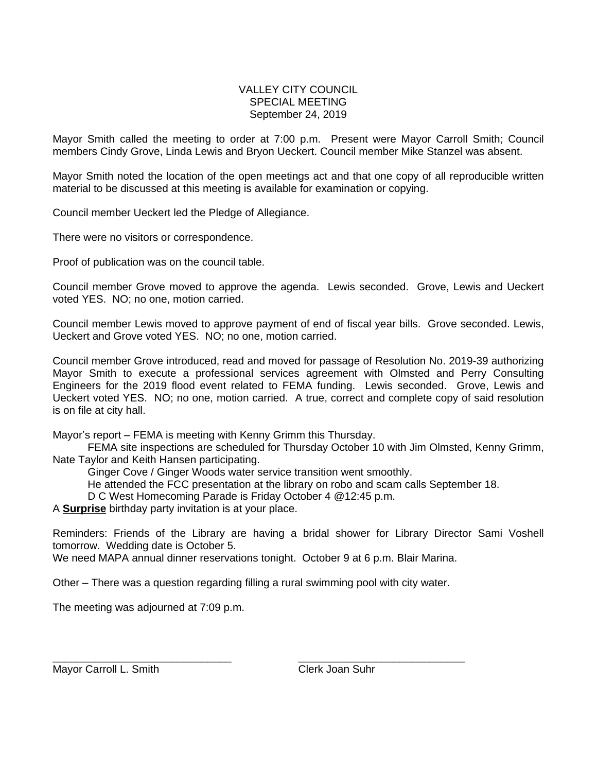#### VALLEY CITY COUNCIL SPECIAL MEETING September 24, 2019

Mayor Smith called the meeting to order at 7:00 p.m. Present were Mayor Carroll Smith; Council members Cindy Grove, Linda Lewis and Bryon Ueckert. Council member Mike Stanzel was absent.

Mayor Smith noted the location of the open meetings act and that one copy of all reproducible written material to be discussed at this meeting is available for examination or copying.

Council member Ueckert led the Pledge of Allegiance.

There were no visitors or correspondence.

Proof of publication was on the council table.

Council member Grove moved to approve the agenda. Lewis seconded. Grove, Lewis and Ueckert voted YES. NO; no one, motion carried.

Council member Lewis moved to approve payment of end of fiscal year bills. Grove seconded. Lewis, Ueckert and Grove voted YES. NO; no one, motion carried.

Council member Grove introduced, read and moved for passage of Resolution No. 2019-39 authorizing Mayor Smith to execute a professional services agreement with Olmsted and Perry Consulting Engineers for the 2019 flood event related to FEMA funding. Lewis seconded. Grove, Lewis and Ueckert voted YES. NO; no one, motion carried. A true, correct and complete copy of said resolution is on file at city hall.

Mayor's report – FEMA is meeting with Kenny Grimm this Thursday.

FEMA site inspections are scheduled for Thursday October 10 with Jim Olmsted, Kenny Grimm, Nate Taylor and Keith Hansen participating.

Ginger Cove / Ginger Woods water service transition went smoothly.

He attended the FCC presentation at the library on robo and scam calls September 18.

D C West Homecoming Parade is Friday October 4 @12:45 p.m.

A **Surprise** birthday party invitation is at your place.

Reminders: Friends of the Library are having a bridal shower for Library Director Sami Voshell tomorrow. Wedding date is October 5.

We need MAPA annual dinner reservations tonight. October 9 at 6 p.m. Blair Marina.

Other – There was a question regarding filling a rural swimming pool with city water.

The meeting was adjourned at 7:09 p.m.

\_\_\_\_\_\_\_\_\_\_\_\_\_\_\_\_\_\_\_\_\_\_\_\_\_\_\_\_\_\_ \_\_\_\_\_\_\_\_\_\_\_\_\_\_\_\_\_\_\_\_\_\_\_\_\_\_\_\_ Mayor Carroll L. Smith Clerk Joan Suhr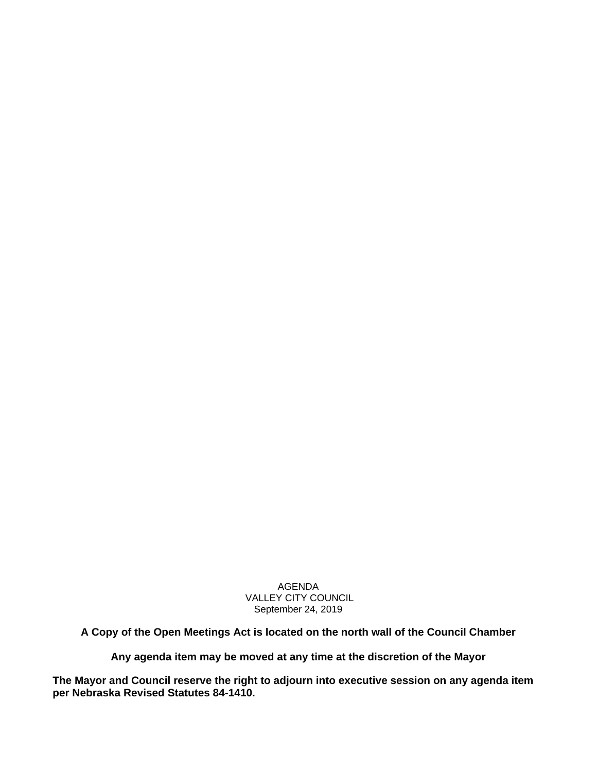AGENDA VALLEY CITY COUNCIL September 24, 2019

**A Copy of the Open Meetings Act is located on the north wall of the Council Chamber**

**Any agenda item may be moved at any time at the discretion of the Mayor**

**The Mayor and Council reserve the right to adjourn into executive session on any agenda item per Nebraska Revised Statutes 84-1410.**